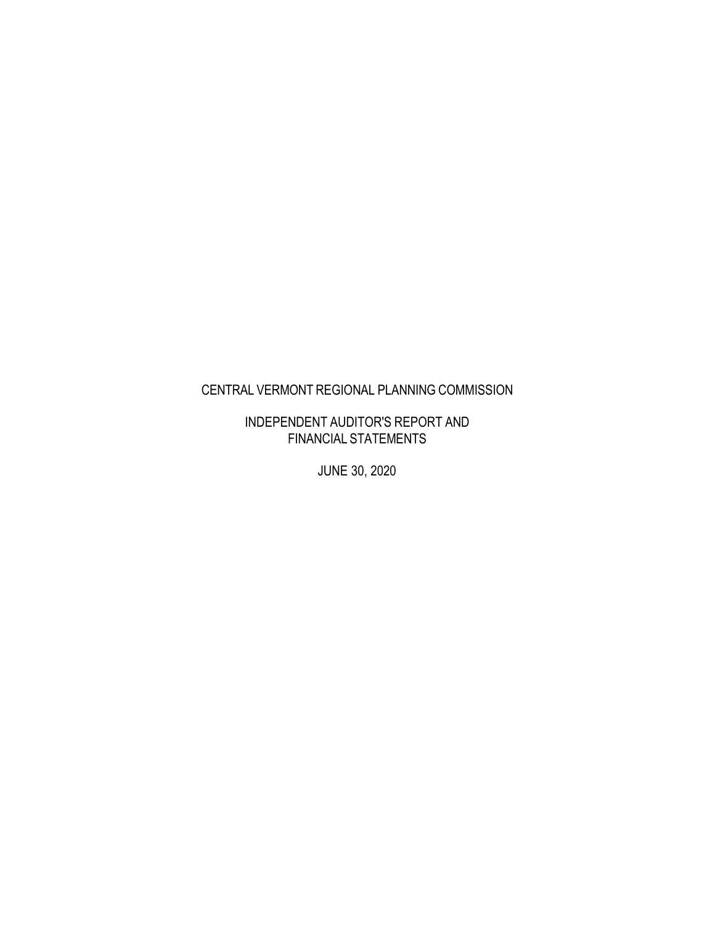# CENTRAL VERMONT REGIONAL PLANNING COMMISSION

INDEPENDENT AUDITOR'S REPORT AND FINANCIAL STATEMENTS

JUNE 30, 2020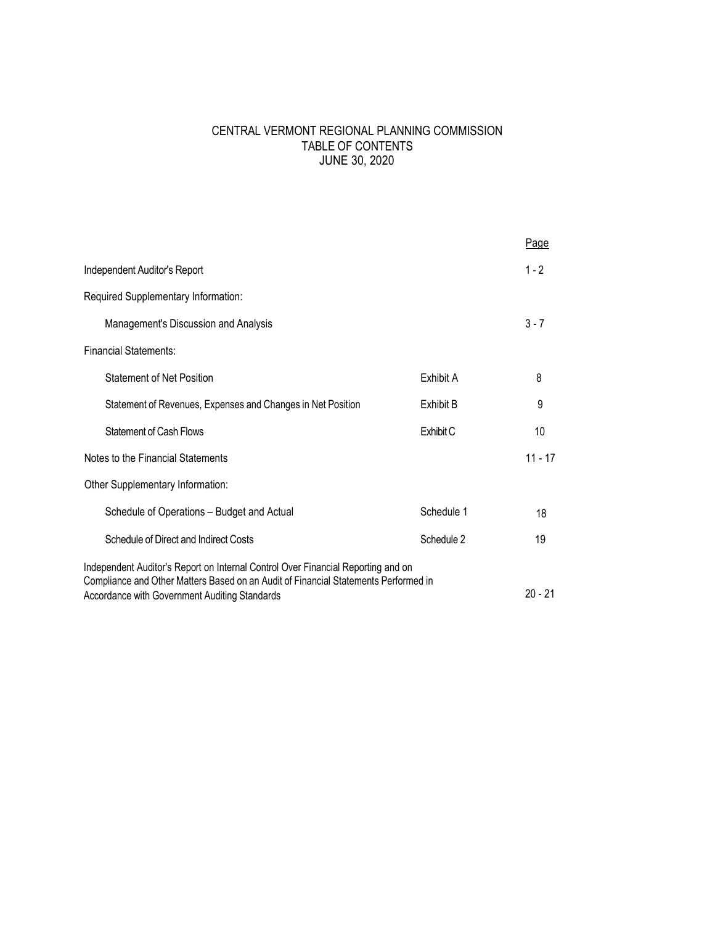# CENTRAL VERMONT REGIONAL PLANNING COMMISSION TABLE OF CONTENTS JUNE 30, 2020

|                                                                                                                                      |            | Page      |
|--------------------------------------------------------------------------------------------------------------------------------------|------------|-----------|
| Independent Auditor's Report                                                                                                         |            | $1 - 2$   |
| Required Supplementary Information:                                                                                                  |            |           |
| Management's Discussion and Analysis                                                                                                 |            | $3 - 7$   |
| <b>Financial Statements:</b>                                                                                                         |            |           |
| <b>Statement of Net Position</b>                                                                                                     | Exhibit A  | 8         |
| Statement of Revenues, Expenses and Changes in Net Position                                                                          | Exhibit B  | 9         |
| <b>Statement of Cash Flows</b>                                                                                                       | Exhibit C  | 10        |
| Notes to the Financial Statements                                                                                                    |            | $11 - 17$ |
| Other Supplementary Information:                                                                                                     |            |           |
| Schedule of Operations - Budget and Actual                                                                                           | Schedule 1 | 18        |
| Schedule of Direct and Indirect Costs                                                                                                | Schedule 2 | 19        |
| Independent Auditor's Report on Internal Control Over Financial Reporting and on                                                     |            |           |
| Compliance and Other Matters Based on an Audit of Financial Statements Performed in<br>Accordance with Government Auditing Standards |            | $20 - 21$ |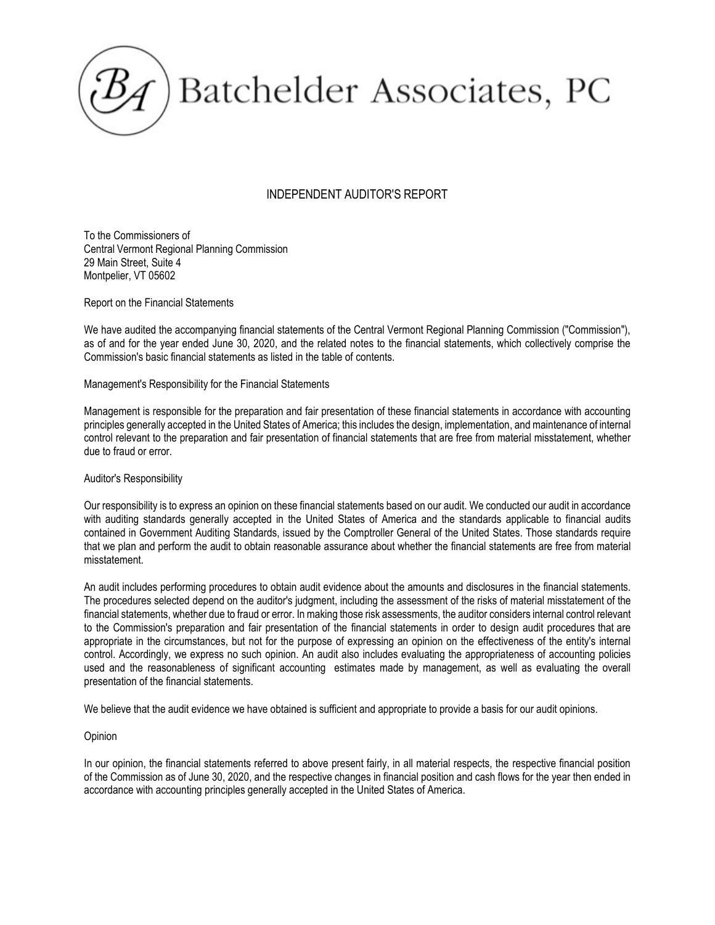

# INDEPENDENT AUDITOR'S REPORT

<span id="page-2-0"></span>To the Commissioners of Central Vermont Regional Planning Commission 29 Main Street, Suite 4 Montpelier, VT 05602

Report on the Financial Statements

We have audited the accompanying financial statements of the Central Vermont Regional Planning Commission ("Commission"), as of and for the year ended June 30, 2020, and the related notes to the financial statements, which collectively comprise the Commission's basic financial statements as listed in the table of contents.

#### Management's Responsibility for the Financial Statements

Management is responsible for the preparation and fair presentation of these financial statements in accordance with accounting principles generally accepted in the United States of America; this includes the design, implementation, and maintenance of internal control relevant to the preparation and fair presentation of financial statements that are free from material misstatement, whether due to fraud or error.

#### Auditor's Responsibility

Our responsibility is to express an opinion on these financial statements based on our audit. We conducted our audit in accordance with auditing standards generally accepted in the United States of America and the standards applicable to financial audits contained in Government Auditing Standards, issued by the Comptroller General of the United States. Those standards require that we plan and perform the audit to obtain reasonable assurance about whether the financial statements are free from material misstatement.

An audit includes performing procedures to obtain audit evidence about the amounts and disclosures in the financial statements. The procedures selected depend on the auditor's judgment, including the assessment of the risks of material misstatement of the financial statements, whether due to fraud or error. In making those risk assessments, the auditor considers internal control relevant to the Commission's preparation and fair presentation of the financial statements in order to design audit procedures that are appropriate in the circumstances, but not for the purpose of expressing an opinion on the effectiveness of the entity's internal control. Accordingly, we express no such opinion. An audit also includes evaluating the appropriateness of accounting policies used and the reasonableness of significant accounting estimates made by management, as well as evaluating the overall presentation of the financial statements.

We believe that the audit evidence we have obtained is sufficient and appropriate to provide a basis for our audit opinions.

#### **Opinion**

In our opinion, the financial statements referred to above present fairly, in all material respects, the respective financial position of the Commission as of June 30, 2020, and the respective changes in financial position and cash flows for the year then ended in accordance with accounting principles generally accepted in the United States of America.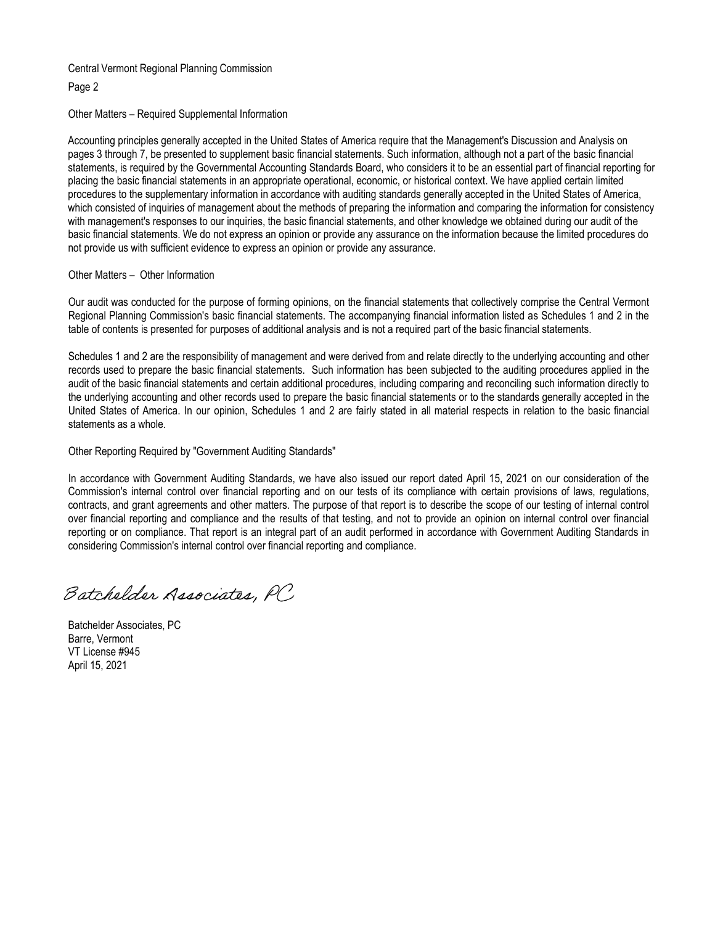### Central Vermont Regional Planning Commission

Page 2

Other Matters – Required Supplemental Information

Accounting principles generally accepted in the United States of America require that the Management's Discussion and Analysis on pages 3 through 7, be presented to supplement basic financial statements. Such information, although not a part of the basic financial statements, is required by the Governmental Accounting Standards Board, who considers it to be an essential part of financial reporting for placing the basic financial statements in an appropriate operational, economic, or historical context. We have applied certain limited procedures to the supplementary information in accordance with auditing standards generally accepted in the United States of America, which consisted of inquiries of management about the methods of preparing the information and comparing the information for consistency with management's responses to our inquiries, the basic financial statements, and other knowledge we obtained during our audit of the basic financial statements. We do not express an opinion or provide any assurance on the information because the limited procedures do not provide us with sufficient evidence to express an opinion or provide any assurance.

### Other Matters – Other Information

Our audit was conducted for the purpose of forming opinions, on the financial statements that collectively comprise the Central Vermont Regional Planning Commission's basic financial statements. The accompanying financial information listed as Schedules 1 and 2 in the table of contents is presented for purposes of additional analysis and is not a required part of the basic financial statements.

Schedules 1 and 2 are the responsibility of management and were derived from and relate directly to the underlying accounting and other records used to prepare the basic financial statements. Such information has been subjected to the auditing procedures applied in the audit of the basic financial statements and certain additional procedures, including comparing and reconciling such information directly to the underlying accounting and other records used to prepare the basic financial statements or to the standards generally accepted in the United States of America. In our opinion, Schedules 1 and 2 are fairly stated in all material respects in relation to the basic financial statements as a whole.

Other Reporting Required by "Government Auditing Standards"

In accordance with Government Auditing Standards, we have also issued our report dated April 15, 2021 on our consideration of the Commission's internal control over financial reporting and on our tests of its compliance with certain provisions of laws, regulations, contracts, and grant agreements and other matters. The purpose of that report is to describe the scope of our testing of internal control over financial reporting and compliance and the results of that testing, and not to provide an opinion on internal control over financial reporting or on compliance. That report is an integral part of an audit performed in accordance with Government Auditing Standards in considering Commission's internal control over financial reporting and compliance.

Batchelder Associates, PC

Batchelder Associates, PC Barre, Vermont VT License #945 April 15, 2021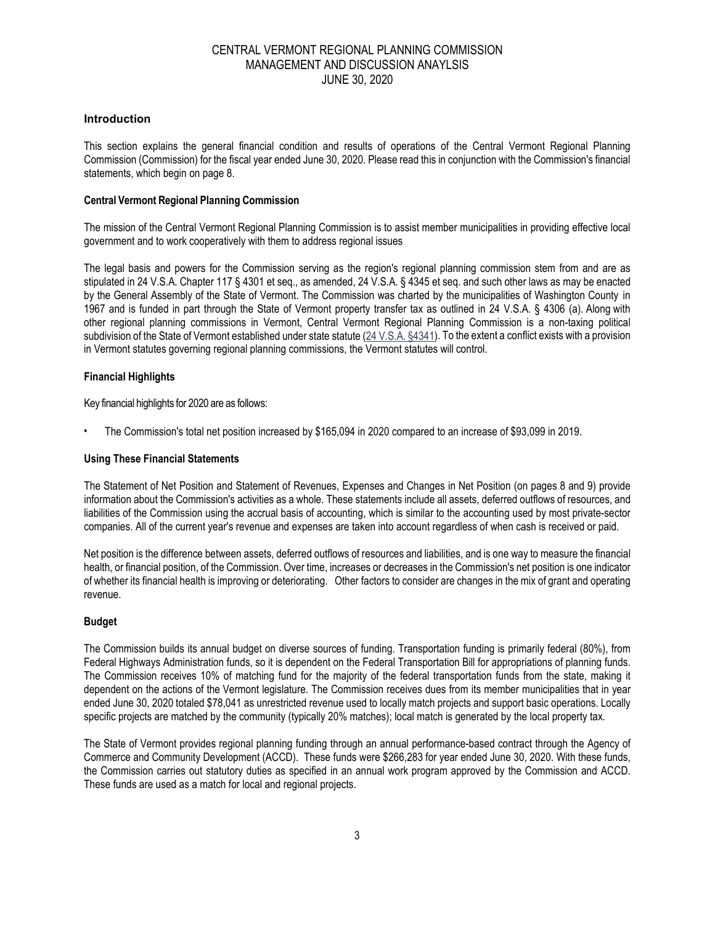### **Introduction**

This section explains the general financial condition and results of operations of the Central Vermont Regional Planning Commission (Commission) for the fiscal year ended June 30, 2020. Please read this in conjunction with the Commission's financial statements, which begin on page 8.

#### **Central Vermont Regional Planning Commission**

The mission of the Central Vermont Regional Planning Commission is to assist member municipalities in providing effective local government and to work cooperatively with them to address regional issues

The legal basis and powers for the Commission serving as the region's regional planning commission stem from and are as stipulated in 24 V.S.A. Chapter 117 § 4301 et seq., as amended, 24 V.S.A. § 4345 et seq. and such other laws as may be enacted by the General Assembly of the State of Vermont. The Commission was charted by the municipalities of Washington County in 1967 and is funded in part through the State of Vermont property transfer tax as outlined in 24 V.S.A. § 4306 (a). Along with other regional planning commissions in Vermont, Central Vermont Regional Planning Commission is a non-taxing political subdivision of the State of Vermont established under state statute [\(24 V.S.A.](http://www.leg.state.vt.us/statutes/sections.cfm?Title=24&Chapter=117) §4341). To the extent a conflict exists with a provision in Vermont statutes governing regional planning commissions, the Vermont statutes will control.

### **Financial Highlights**

Key financial highlights for 2020 are as follows:

• The Commission's total net position increased by \$165,094 in 2020 compared to an increase of \$93,099 in 2019.

#### **Using These Financial Statements**

The Statement of Net Position and Statement of Revenues, Expenses and Changes in Net Position (on pages 8 and 9) provide information about the Commission's activities as a whole. These statements include all assets, deferred outflows of resources, and liabilities of the Commission using the accrual basis of accounting, which is similar to the accounting used by most private-sector companies. All of the current year's revenue and expenses are taken into account regardless of when cash is received or paid.

Net position is the difference between assets, deferred outflows of resources and liabilities, and is one way to measure the financial health, or financial position, of the Commission. Over time, increases or decreases in the Commission's net position is one indicator of whether its financial health is improving or deteriorating. Other factors to consider are changes in the mix of grant and operating revenue.

#### **Budget**

The Commission builds its annual budget on diverse sources of funding. Transportation funding is primarily federal (80%), from Federal Highways Administration funds, so it is dependent on the Federal Transportation Bill for appropriations of planning funds. The Commission receives 10% of matching fund for the majority of the federal transportation funds from the state, making it dependent on the actions of the Vermont legislature. The Commission receives dues from its member municipalities that in year ended June 30, 2020 totaled \$78,041 as unrestricted revenue used to locally match projects and support basic operations. Locally specific projects are matched by the community (typically 20% matches); local match is generated by the local property tax.

The State of Vermont provides regional planning funding through an annual performance-based contract through the Agency of Commerce and Community Development (ACCD). These funds were \$266,283 for year ended June 30, 2020. With these funds, the Commission carries out statutory duties as specified in an annual work program approved by the Commission and ACCD. These funds are used as a match for local and regional projects.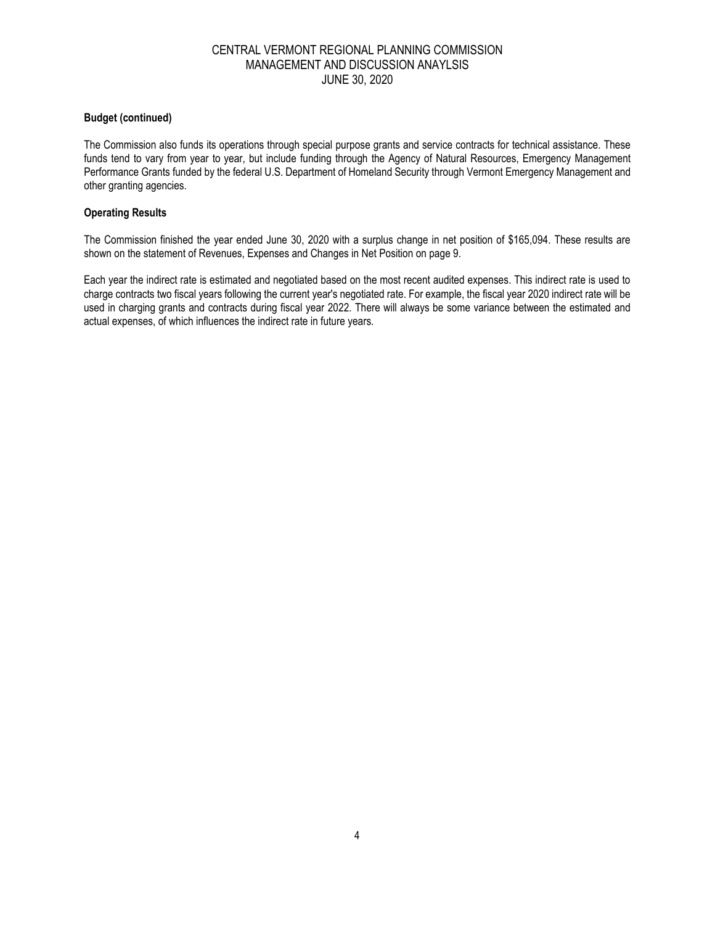### **Budget (continued)**

The Commission also funds its operations through special purpose grants and service contracts for technical assistance. These funds tend to vary from year to year, but include funding through the Agency of Natural Resources, Emergency Management Performance Grants funded by the federal U.S. Department of Homeland Security through Vermont Emergency Management and other granting agencies.

### **Operating Results**

The Commission finished the year ended June 30, 2020 with a surplus change in net position of \$165,094. These results are shown on the statement of Revenues, Expenses and Changes in Net Position on page 9.

Each year the indirect rate is estimated and negotiated based on the most recent audited expenses. This indirect rate is used to charge contracts two fiscal years following the current year's negotiated rate. For example, the fiscal year 2020 indirect rate will be used in charging grants and contracts during fiscal year 2022. There will always be some variance between the estimated and actual expenses, of which influences the indirect rate in future years.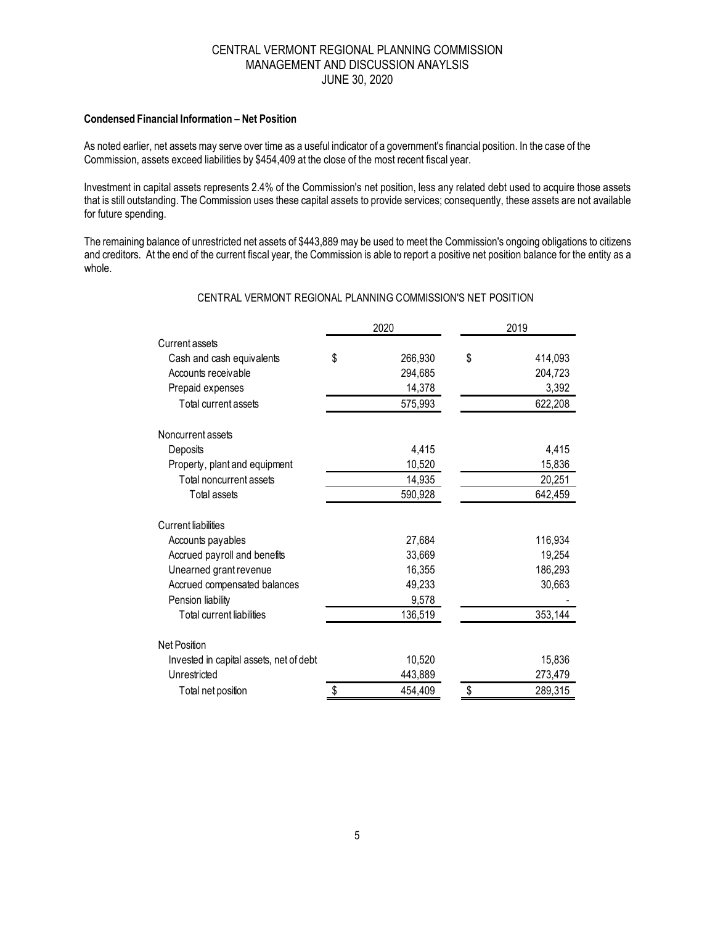### **Condensed Financial Information – Net Position**

As noted earlier, net assets may serve over time as a useful indicator of a government's financial position. In the case of the Commission, assets exceed liabilities by \$454,409 at the close of the most recent fiscal year.

Investment in capital assets represents 2.4% of the Commission's net position, less any related debt used to acquire those assets that is still outstanding. The Commission uses these capital assets to provide services; consequently, these assets are not available for future spending.

The remaining balance of unrestricted net assets of \$443,889 may be used to meet the Commission's ongoing obligations to citizens and creditors. At the end of the current fiscal year, the Commission is able to report a positive net position balance for the entity as a whole.

### CENTRAL VERMONT REGIONAL PLANNING COMMISSION'S NET POSITION

|                                         | 2020          | 2019          |
|-----------------------------------------|---------------|---------------|
| Current assets                          |               |               |
| Cash and cash equivalents               | \$<br>266,930 | \$<br>414,093 |
| Accounts receivable                     | 294,685       | 204,723       |
| Prepaid expenses                        | 14,378        | 3,392         |
| Total current assets                    | 575,993       | 622,208       |
| Noncurrent assets                       |               |               |
| Deposits                                | 4,415         | 4,415         |
| Property, plant and equipment           | 10,520        | 15,836        |
| Total noncurrent assets                 | 14,935        | 20,251        |
| Total assets                            | 590,928       | 642,459       |
| <b>Current liabilities</b>              |               |               |
| Accounts payables                       | 27,684        | 116,934       |
| Accrued payroll and benefits            | 33,669        | 19,254        |
| Unearned grant revenue                  | 16,355        | 186,293       |
| Accrued compensated balances            | 49,233        | 30,663        |
| Pension liability                       | 9,578         |               |
| <b>Total current liabilities</b>        | 136,519       | 353,144       |
| Net Position                            |               |               |
| Invested in capital assets, net of debt | 10,520        | 15,836        |
| Unrestricted                            | 443,889       | 273,479       |
| Total net position                      | \$<br>454,409 | \$<br>289,315 |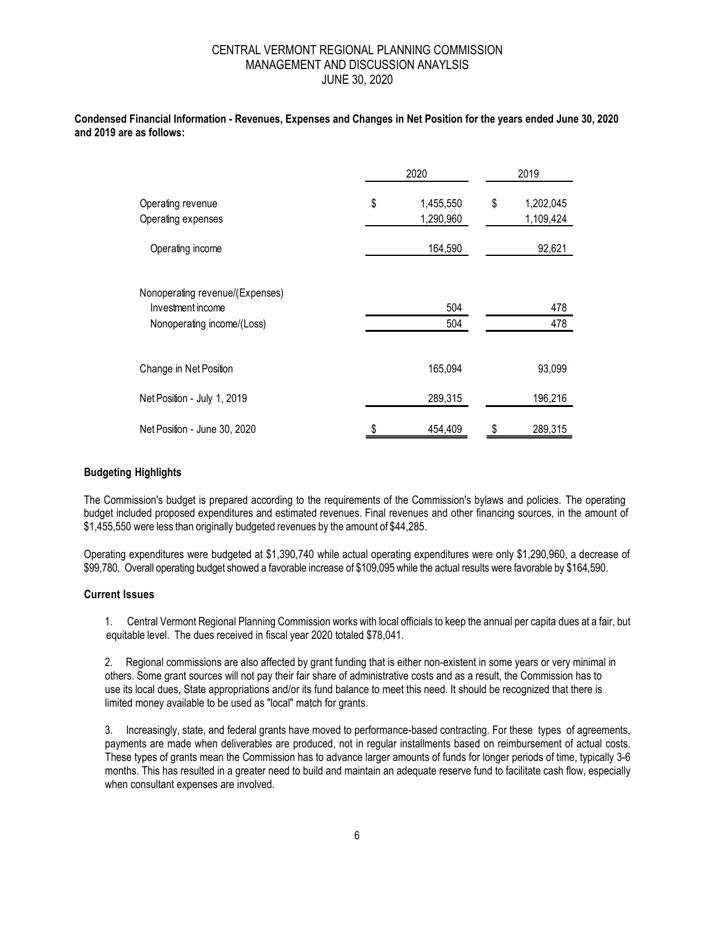### **Condensed Financial Information - Revenues, Expenses and Changes in Net Position for the years ended June 30, 2020 and 2019 are as follows:**

|                                                      | 2020            | 2019            |  |  |
|------------------------------------------------------|-----------------|-----------------|--|--|
| Operating revenue                                    | \$<br>1,455,550 | \$<br>1,202,045 |  |  |
| Operating expenses                                   | 1,290,960       | 1,109,424       |  |  |
| Operating income                                     | 164,590         | 92,621          |  |  |
| Nonoperating revenue/(Expenses)<br>Investment income | 504             | 478             |  |  |
| Nonoperating income/(Loss)                           | 504             | 478             |  |  |
| Change in Net Position                               | 165,094         | 93,099          |  |  |
| Net Position - July 1, 2019                          | 289,315         | 196,216         |  |  |
| Net Position - June 30, 2020                         | \$<br>454,409   | \$<br>289,315   |  |  |

#### **Budgeting Highlights**

The Commission's budget is prepared according to the requirements of the Commission's bylaws and policies. The operating budget included proposed expenditures and estimated revenues. Final revenues and other financing sources, in the amount of \$1,455,550 were less than originally budgeted revenues by the amount of \$44,285.

Operating expenditures were budgeted at \$1,390,740 while actual operating expenditures were only \$1,290,960, a decrease of \$99,780. Overall operating budget showed a favorable increase of \$109,095 while the actual results were favorable by \$164,590.

#### **Current Issues**

1. Central Vermont Regional Planning Commission works with local officials to keep the annual per capita dues at a fair, but equitable level. The dues received in fiscal year 2020 totaled \$78,041.

2. Regional commissions are also affected by grant funding that is either non-existent in some years or very minimal in others. Some grant sources will not pay their fair share of administrative costs and as a result, the Commission has to use its local dues, State appropriations and/or its fund balance to meet this need. It should be recognized that there is limited money available to be used as "local" match for grants.

3. Increasingly, state, and federal grants have moved to performance-based contracting. For these types of agreements, payments are made when deliverables are produced, not in regular installments based on reimbursement of actual costs. These types of grants mean the Commission has to advance larger amounts of funds for longer periods of time, typically 3-6 months. This has resulted in a greater need to build and maintain an adequate reserve fund to facilitate cash flow, especially when consultant expenses are involved.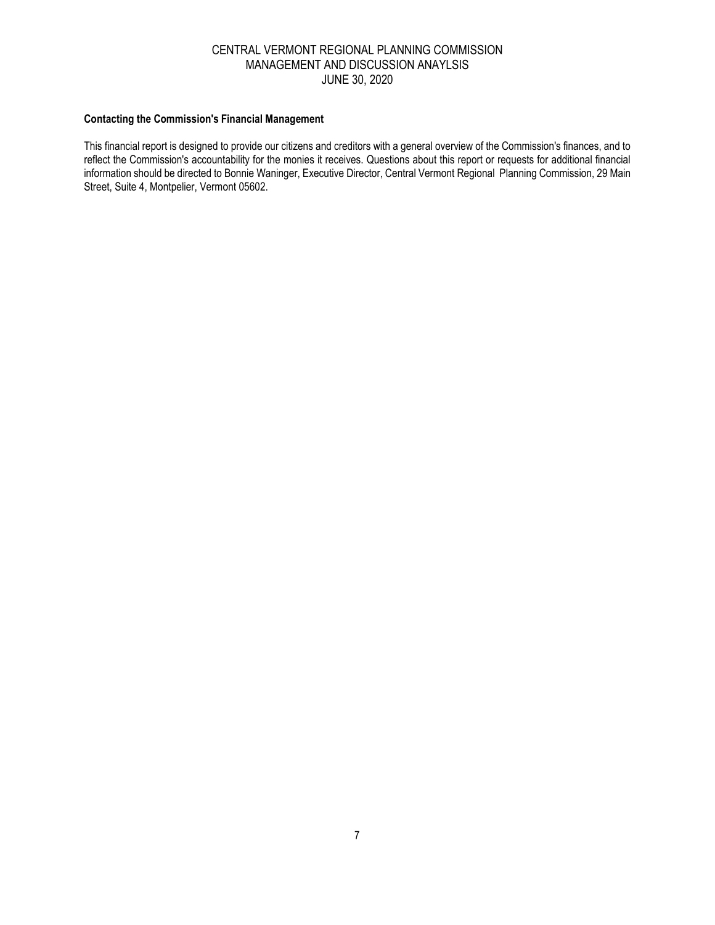### **Contacting the Commission's Financial Management**

This financial report is designed to provide our citizens and creditors with a general overview of the Commission's finances, and to reflect the Commission's accountability for the monies it receives. Questions about this report or requests for additional financial information should be directed to Bonnie Waninger, Executive Director, Central Vermont Regional Planning Commission, 29 Main Street, Suite 4, Montpelier, Vermont 05602.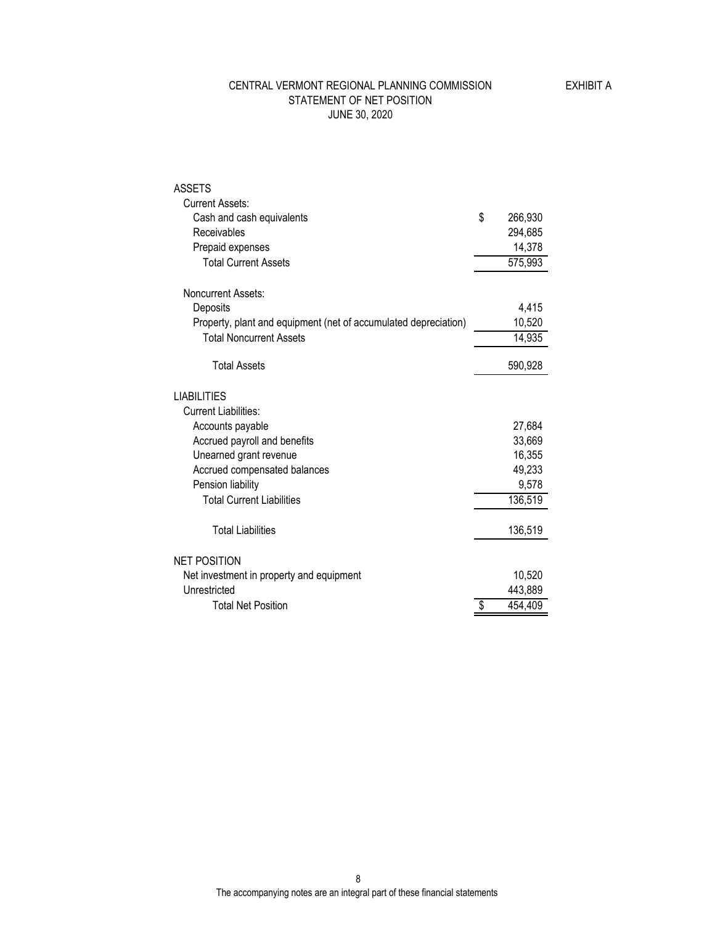## STATEMENT OF NET POSITION JUNE 30, 2020 CENTRAL VERMONT REGIONAL PLANNING COMMISSION

| <b>ASSETS</b><br><b>Current Assets:</b><br>Cash and cash equivalents<br>Receivables | \$<br>266,930<br>294,685 |
|-------------------------------------------------------------------------------------|--------------------------|
| Prepaid expenses                                                                    | 14,378                   |
| <b>Total Current Assets</b>                                                         | 575,993                  |
| <b>Noncurrent Assets:</b>                                                           |                          |
| Deposits                                                                            | 4,415                    |
| Property, plant and equipment (net of accumulated depreciation)                     | 10,520                   |
| <b>Total Noncurrent Assets</b>                                                      | 14,935                   |
| <b>Total Assets</b>                                                                 | 590,928                  |
| <b>LIABILITIES</b>                                                                  |                          |
| <b>Current Liabilities:</b>                                                         |                          |
| Accounts payable                                                                    | 27,684                   |
| Accrued payroll and benefits                                                        | 33,669                   |
| Unearned grant revenue                                                              | 16,355                   |
| Accrued compensated balances                                                        | 49,233                   |
| Pension liability                                                                   | 9,578                    |
| <b>Total Current Liabilities</b>                                                    | 136,519                  |
| <b>Total Liabilities</b>                                                            | 136,519                  |
| <b>NET POSITION</b>                                                                 |                          |
| Net investment in property and equipment                                            | 10,520                   |
| Unrestricted                                                                        | 443,889                  |
| <b>Total Net Position</b>                                                           | \$<br>454,409            |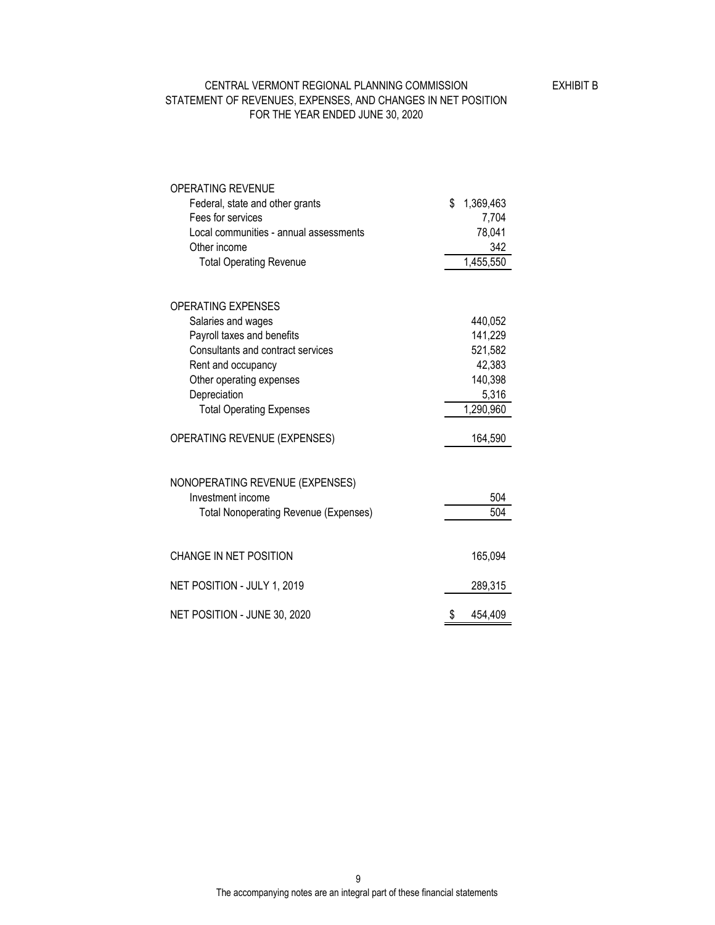## STATEMENT OF REVENUES, EXPENSES, AND CHANGES IN NET POSITION FOR THE YEAR ENDED JUNE 30, 2020 CENTRAL VERMONT REGIONAL PLANNING COMMISSION

| <b>OPERATING REVENUE</b>                     |                 |
|----------------------------------------------|-----------------|
| Federal, state and other grants              | \$<br>1,369,463 |
| Fees for services                            | 7,704           |
| Local communities - annual assessments       | 78,041          |
| Other income                                 | 342             |
| <b>Total Operating Revenue</b>               | 1,455,550       |
| <b>OPERATING EXPENSES</b>                    |                 |
| Salaries and wages                           | 440,052         |
| Payroll taxes and benefits                   | 141,229         |
| Consultants and contract services            | 521,582         |
| Rent and occupancy                           | 42,383          |
| Other operating expenses                     | 140,398         |
| Depreciation                                 | 5,316           |
| <b>Total Operating Expenses</b>              | 1,290,960       |
| OPERATING REVENUE (EXPENSES)                 | 164,590         |
| NONOPERATING REVENUE (EXPENSES)              |                 |
| Investment income                            | 504             |
| <b>Total Nonoperating Revenue (Expenses)</b> | 504             |
| <b>CHANGE IN NET POSITION</b>                | 165,094         |
| NET POSITION - JULY 1, 2019                  | 289,315         |
| NET POSITION - JUNE 30, 2020                 | \$<br>454,409   |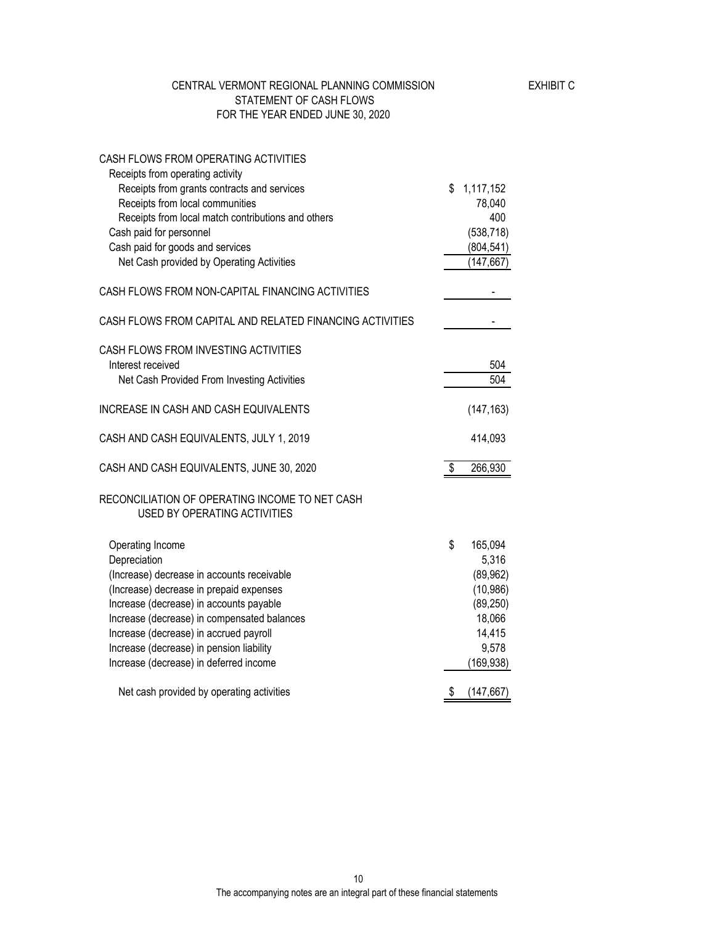# EXHIBIT C

## CENTRAL VERMONT REGIONAL PLANNING COMMISSION STATEMENT OF CASH FLOWS FOR THE YEAR ENDED JUNE 30, 2020

| CASH FLOWS FROM OPERATING ACTIVITIES                                                  |                     |
|---------------------------------------------------------------------------------------|---------------------|
| Receipts from operating activity<br>Receipts from grants contracts and services       | \$<br>1,117,152     |
| Receipts from local communities                                                       | 78,040              |
| Receipts from local match contributions and others                                    | 400                 |
| Cash paid for personnel                                                               | (538, 718)          |
| Cash paid for goods and services                                                      | (804, 541)          |
| Net Cash provided by Operating Activities                                             | (147, 667)          |
| CASH FLOWS FROM NON-CAPITAL FINANCING ACTIVITIES                                      |                     |
| CASH FLOWS FROM CAPITAL AND RELATED FINANCING ACTIVITIES                              |                     |
| CASH FLOWS FROM INVESTING ACTIVITIES                                                  |                     |
| Interest received                                                                     | 504                 |
| Net Cash Provided From Investing Activities                                           | 504                 |
| <b>INCREASE IN CASH AND CASH EQUIVALENTS</b>                                          | (147, 163)          |
| CASH AND CASH EQUIVALENTS, JULY 1, 2019                                               | 414,093             |
| CASH AND CASH EQUIVALENTS, JUNE 30, 2020                                              | \$<br>266,930       |
| RECONCILIATION OF OPERATING INCOME TO NET CASH<br><b>USED BY OPERATING ACTIVITIES</b> |                     |
| Operating Income                                                                      | \$<br>165,094       |
| Depreciation                                                                          | 5,316               |
| (Increase) decrease in accounts receivable                                            | (89, 962)           |
| (Increase) decrease in prepaid expenses                                               | (10, 986)           |
| Increase (decrease) in accounts payable                                               | (89, 250)<br>18,066 |
| Increase (decrease) in compensated balances<br>Increase (decrease) in accrued payroll | 14,415              |
| Increase (decrease) in pension liability                                              | 9,578               |
| Increase (decrease) in deferred income                                                | (169, 938)          |
| Net cash provided by operating activities                                             | \$<br>(147, 667)    |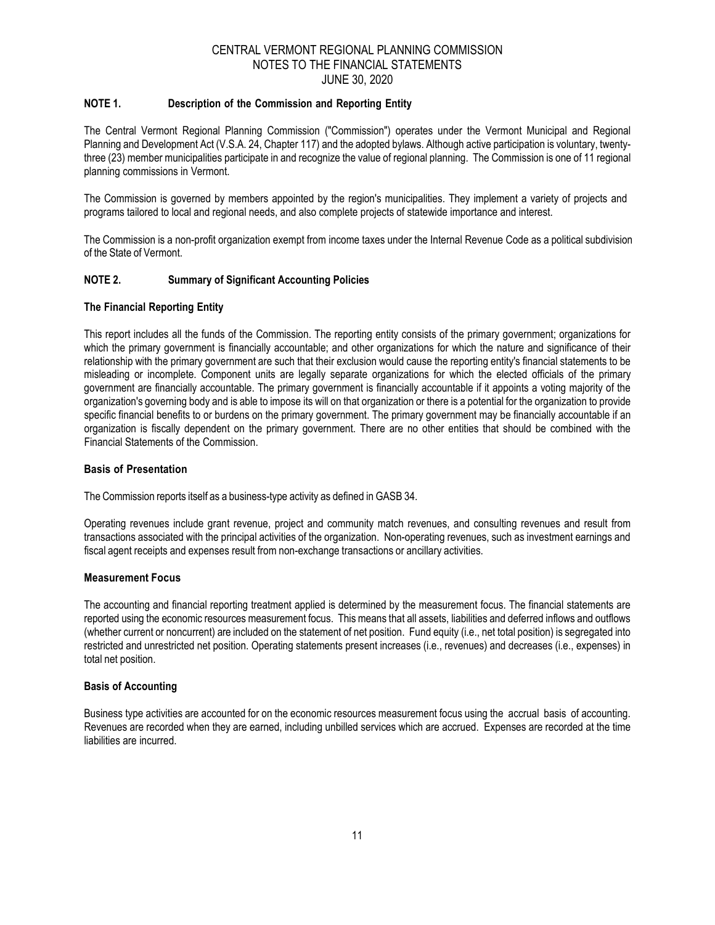## **NOTE 1. Description of the Commission and Reporting Entity**

The Central Vermont Regional Planning Commission ("Commission") operates under the Vermont Municipal and Regional Planning and Development Act (V.S.A. 24, Chapter 117) and the adopted bylaws. Although active participation is voluntary, twentythree (23) member municipalities participate in and recognize the value of regional planning. The Commission is one of 11 regional planning commissions in Vermont.

The Commission is governed by members appointed by the region's municipalities. They implement a variety of projects and programs tailored to local and regional needs, and also complete projects of statewide importance and interest.

The Commission is a non-profit organization exempt from income taxes under the Internal Revenue Code as a political subdivision of the State of Vermont.

### **NOTE 2. Summary of Significant Accounting Policies**

#### **The Financial Reporting Entity**

This report includes all the funds of the Commission. The reporting entity consists of the primary government; organizations for which the primary government is financially accountable; and other organizations for which the nature and significance of their relationship with the primary government are such that their exclusion would cause the reporting entity's financial statements to be misleading or incomplete. Component units are legally separate organizations for which the elected officials of the primary government are financially accountable. The primary government is financially accountable if it appoints a voting majority of the organization's governing body and is able to impose its will on that organization or there is a potential for the organization to provide specific financial benefits to or burdens on the primary government. The primary government may be financially accountable if an organization is fiscally dependent on the primary government. There are no other entities that should be combined with the Financial Statements of the Commission.

#### **Basis of Presentation**

The Commission reports itself as a business-type activity as defined in GASB 34.

Operating revenues include grant revenue, project and community match revenues, and consulting revenues and result from transactions associated with the principal activities of the organization. Non-operating revenues, such as investment earnings and fiscal agent receipts and expenses result from non-exchange transactions or ancillary activities.

#### **Measurement Focus**

The accounting and financial reporting treatment applied is determined by the measurement focus. The financial statements are reported using the economic resources measurement focus. This means that all assets, liabilities and deferred inflows and outflows (whether current or noncurrent) are included on the statement of net position. Fund equity (i.e., net total position) is segregated into restricted and unrestricted net position. Operating statements present increases (i.e., revenues) and decreases (i.e., expenses) in total net position.

#### **Basis of Accounting**

Business type activities are accounted for on the economic resources measurement focus using the accrual basis of accounting. Revenues are recorded when they are earned, including unbilled services which are accrued. Expenses are recorded at the time liabilities are incurred.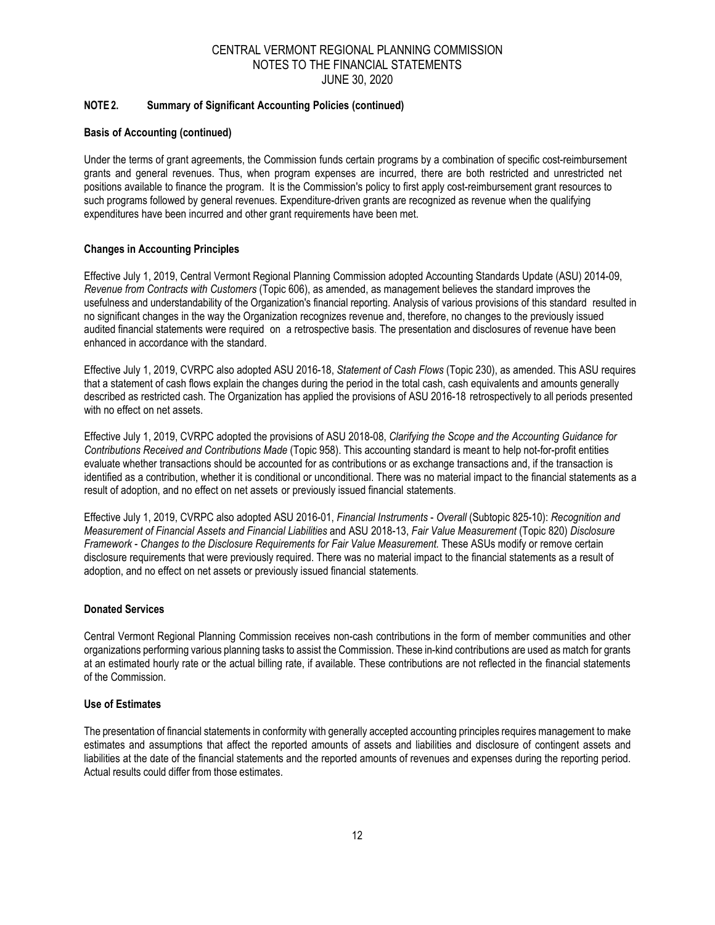## **NOTE 2. Summary of Significant Accounting Policies (continued)**

#### **Basis of Accounting (continued)**

Under the terms of grant agreements, the Commission funds certain programs by a combination of specific cost-reimbursement grants and general revenues. Thus, when program expenses are incurred, there are both restricted and unrestricted net positions available to finance the program. It is the Commission's policy to first apply cost-reimbursement grant resources to such programs followed by general revenues. Expenditure-driven grants are recognized as revenue when the qualifying expenditures have been incurred and other grant requirements have been met.

### **Changes in Accounting Principles**

Effective July 1, 2019, Central Vermont Regional Planning Commission adopted Accounting Standards Update (ASU) 2014-09, *Revenue from Contracts with Customers* (Topic 606), as amended, as management believes the standard improves the usefulness and understandability of the Organization's financial reporting. Analysis of various provisions of this standard resulted in no significant changes in the way the Organization recognizes revenue and, therefore, no changes to the previously issued audited financial statements were required on a retrospective basis. The presentation and disclosures of revenue have been enhanced in accordance with the standard.

Effective July 1, 2019, CVRPC also adopted ASU 2016-18, *Statement of Cash Flows* (Topic 230), as amended. This ASU requires that a statement of cash flows explain the changes during the period in the total cash, cash equivalents and amounts generally described as restricted cash. The Organization has applied the provisions of ASU 2016-18 retrospectively to all periods presented with no effect on net assets.

Effective July 1, 2019, CVRPC adopted the provisions of ASU 2018-08, *Clarifying the Scope and the Accounting Guidance for Contributions Received and Contributions Made* (Topic 958). This accounting standard is meant to help not-for-profit entities evaluate whether transactions should be accounted for as contributions or as exchange transactions and, if the transaction is identified as a contribution, whether it is conditional or unconditional. There was no material impact to the financial statements as a result of adoption, and no effect on net assets or previously issued financial statements.

Effective July 1, 2019, CVRPC also adopted ASU 2016-01, *Financial Instruments* - *Overall* (Subtopic 825-10): *Recognition and Measurement of Financial Assets and Financial Liabilities* and ASU 2018-13, *Fair Value Measurement* (Topic 820) *Disclosure Framework* - *Changes to the Disclosure Requirements for Fair Value Measurement.* These ASUs modify or remove certain disclosure requirements that were previously required. There was no material impact to the financial statements as a result of adoption, and no effect on net assets or previously issued financial statements.

#### **Donated Services**

Central Vermont Regional Planning Commission receives non-cash contributions in the form of member communities and other organizations performing various planning tasks to assist the Commission. These in-kind contributions are used as match for grants at an estimated hourly rate or the actual billing rate, if available. These contributions are not reflected in the financial statements of the Commission.

#### **Use of Estimates**

The presentation of financial statements in conformity with generally accepted accounting principles requires management to make estimates and assumptions that affect the reported amounts of assets and liabilities and disclosure of contingent assets and liabilities at the date of the financial statements and the reported amounts of revenues and expenses during the reporting period. Actual results could differ from those estimates.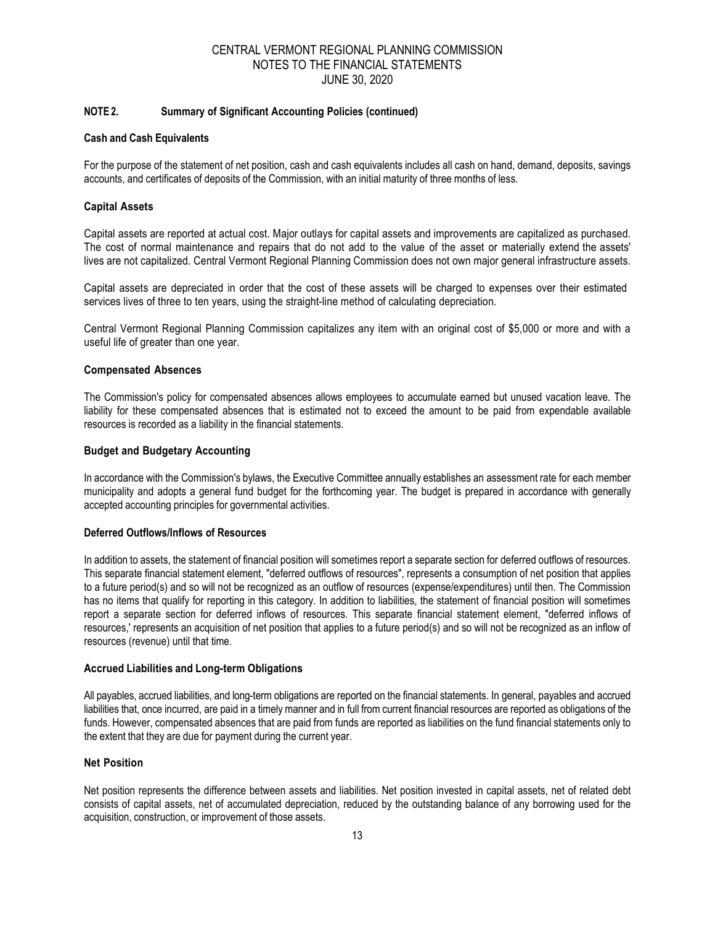### **NOTE 2. Summary of Significant Accounting Policies (continued)**

#### **Cash and Cash Equivalents**

For the purpose of the statement of net position, cash and cash equivalents includes all cash on hand, demand, deposits, savings accounts, and certificates of deposits of the Commission, with an initial maturity of three months of less.

### **Capital Assets**

Capital assets are reported at actual cost. Major outlays for capital assets and improvements are capitalized as purchased. The cost of normal maintenance and repairs that do not add to the value of the asset or materially extend the assets' lives are not capitalized. Central Vermont Regional Planning Commission does not own major general infrastructure assets.

Capital assets are depreciated in order that the cost of these assets will be charged to expenses over their estimated services lives of three to ten years, using the straight-line method of calculating depreciation.

Central Vermont Regional Planning Commission capitalizes any item with an original cost of \$5,000 or more and with a useful life of greater than one year.

### **Compensated Absences**

The Commission's policy for compensated absences allows employees to accumulate earned but unused vacation leave. The liability for these compensated absences that is estimated not to exceed the amount to be paid from expendable available resources is recorded as a liability in the financial statements.

### **Budget and Budgetary Accounting**

In accordance with the Commission's bylaws, the Executive Committee annually establishes an assessment rate for each member municipality and adopts a general fund budget for the forthcoming year. The budget is prepared in accordance with generally accepted accounting principles for governmental activities.

#### **Deferred Outflows/Inflows of Resources**

In addition to assets, the statement of financial position will sometimes report a separate section for deferred outflows of resources. This separate financial statement element, "deferred outflows of resources", represents a consumption of net position that applies to a future period(s) and so will not be recognized as an outflow of resources (expense/expenditures) until then. The Commission has no items that qualify for reporting in this category. In addition to liabilities, the statement of financial position will sometimes report a separate section for deferred inflows of resources. This separate financial statement element, "deferred inflows of resources,' represents an acquisition of net position that applies to a future period(s) and so will not be recognized as an inflow of resources (revenue) until that time.

#### **Accrued Liabilities and Long-term Obligations**

All payables, accrued liabilities, and long-term obligations are reported on the financial statements. In general, payables and accrued liabilities that, once incurred, are paid in a timely manner and in full from current financial resources are reported as obligations of the funds. However, compensated absences that are paid from funds are reported as liabilities on the fund financial statements only to the extent that they are due for payment during the current year.

#### **Net Position**

Net position represents the difference between assets and liabilities. Net position invested in capital assets, net of related debt consists of capital assets, net of accumulated depreciation, reduced by the outstanding balance of any borrowing used for the acquisition, construction, or improvement of those assets.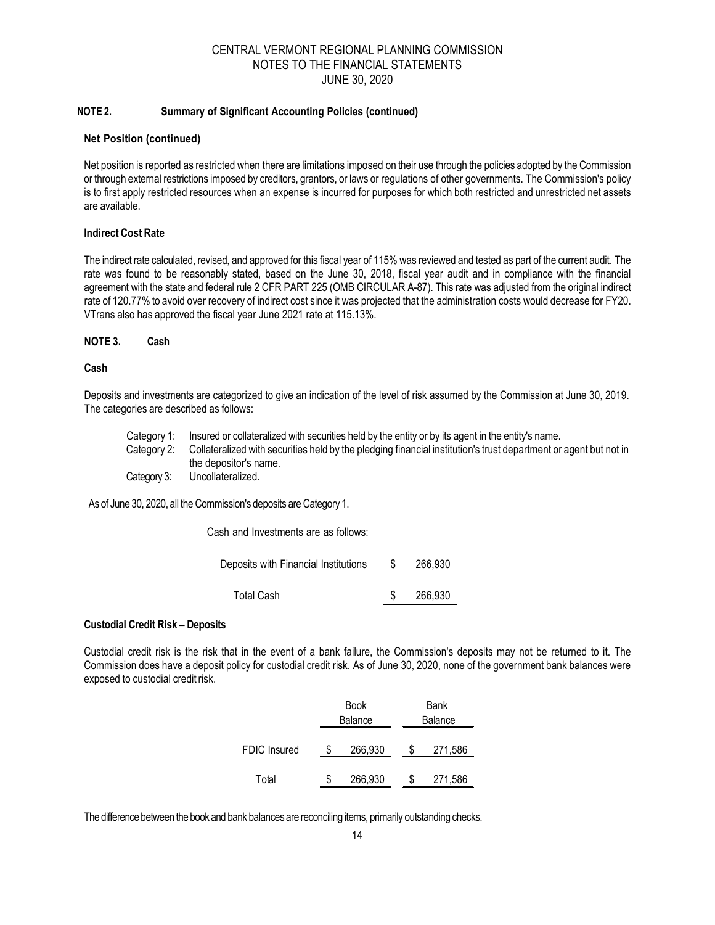## **NOTE 2. Summary of Significant Accounting Policies (continued)**

### **Net Position (continued)**

Net position is reported as restricted when there are limitations imposed on their use through the policies adopted by the Commission or through external restrictions imposed by creditors, grantors, or laws or regulations of other governments. The Commission's policy is to first apply restricted resources when an expense is incurred for purposes for which both restricted and unrestricted net assets are available.

### **Indirect Cost Rate**

The indirect rate calculated, revised, and approved for this fiscal year of 115% was reviewed and tested as part of the current audit. The rate was found to be reasonably stated, based on the June 30, 2018, fiscal year audit and in compliance with the financial agreement with the state and federal rule 2 CFR PART 225 (OMB CIRCULAR A-87). This rate was adjusted from the original indirect rate of 120.77% to avoid over recovery of indirect cost since it was projected that the administration costs would decrease for FY20. VTrans also has approved the fiscal year June 2021 rate at 115.13%.

## **NOTE 3. Cash**

### **Cash**

Deposits and investments are categorized to give an indication of the level of risk assumed by the Commission at June 30, 2019. The categories are described as follows:

| Category 1: | Insured or collateralized with securities held by the entity or by its agent in the entity's name.               |
|-------------|------------------------------------------------------------------------------------------------------------------|
| Category 2: | Collateralized with securities held by the pledging financial institution's trust department or agent but not in |
|             | the depositor's name.                                                                                            |
| Category 3: | Uncollateralized.                                                                                                |

As of June 30, 2020, all the Commission's deposits are Category 1.

| Cash and Investments are as follows: |
|--------------------------------------|
|--------------------------------------|

| Deposits with Financial Institutions | 266.930 |
|--------------------------------------|---------|
| <b>Total Cash</b>                    | 266.930 |

### **Custodial Credit Risk – Deposits**

Custodial credit risk is the risk that in the event of a bank failure, the Commission's deposits may not be returned to it. The Commission does have a deposit policy for custodial credit risk. As of June 30, 2020, none of the government bank balances were exposed to custodial credit risk.

|              | <b>Book</b>    |  | Bank    |  |  |  |
|--------------|----------------|--|---------|--|--|--|
|              | <b>Balance</b> |  | Balance |  |  |  |
| FDIC Insured | 266,930        |  | 271,586 |  |  |  |
| Total        | 266,930        |  | 271,586 |  |  |  |

The difference between the book and bank balances are reconciling items, primarily outstanding checks.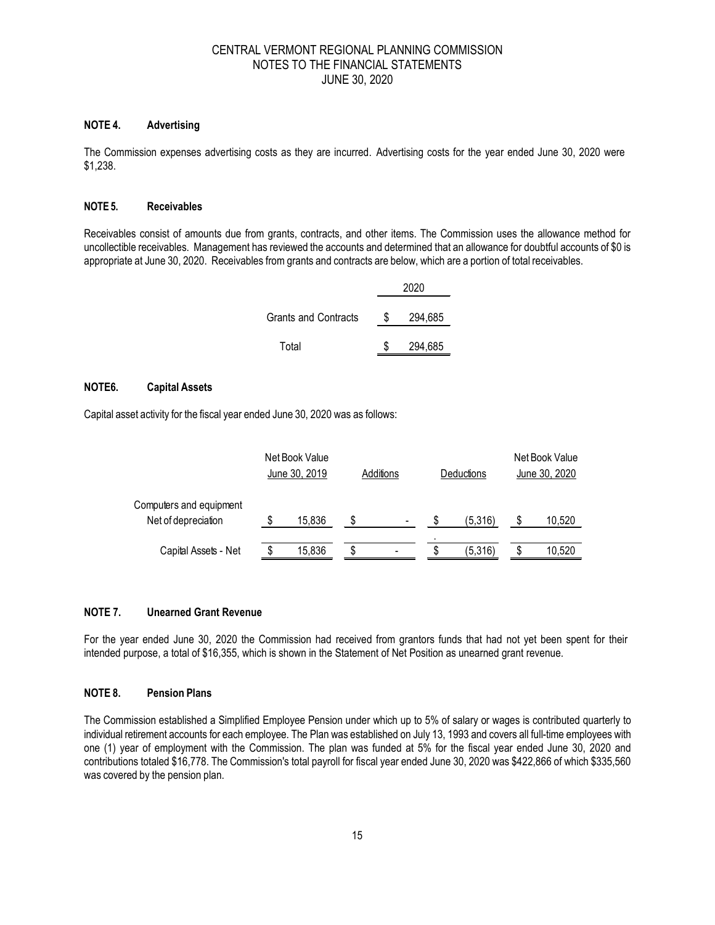### **NOTE 4. Advertising**

The Commission expenses advertising costs as they are incurred. Advertising costs for the year ended June 30, 2020 were \$1,238.

### **NOTE 5. Receivables**

Receivables consist of amounts due from grants, contracts, and other items. The Commission uses the allowance method for uncollectible receivables. Management has reviewed the accounts and determined that an allowance for doubtful accounts of \$0 is appropriate at June 30, 2020. Receivables from grants and contracts are below, which are a portion of total receivables.

|                             | 2020 |         |  |  |
|-----------------------------|------|---------|--|--|
| <b>Grants and Contracts</b> | S    | 294,685 |  |  |
| Total                       | S    | 294,685 |  |  |

### **NOTE6. Capital Assets**

Capital asset activity for the fiscal year ended June 30, 2020 was as follows:

|                         |               | Net Book Value |                         |   |         | Net Book Value |
|-------------------------|---------------|----------------|-------------------------|---|---------|----------------|
|                         | June 30, 2019 |                | Additions<br>Deductions |   |         | June 30, 2020  |
| Computers and equipment |               |                |                         |   |         |                |
| Net of depreciation     |               | 15,836         | \$<br>۰                 | S | (5,316) | 10,520         |
|                         |               |                |                         |   |         |                |
| Capital Assets - Net    |               | 15,836         |                         |   | (5,316) | 10,520         |

### **NOTE 7. Unearned Grant Revenue**

For the year ended June 30, 2020 the Commission had received from grantors funds that had not yet been spent for their intended purpose, a total of \$16,355, which is shown in the Statement of Net Position as unearned grant revenue.

## **NOTE 8. Pension Plans**

The Commission established a Simplified Employee Pension under which up to 5% of salary or wages is contributed quarterly to individual retirement accounts for each employee. The Plan was established on July 13, 1993 and covers all full-time employees with one (1) year of employment with the Commission. The plan was funded at 5% for the fiscal year ended June 30, 2020 and contributions totaled \$16,778. The Commission's total payroll for fiscal year ended June 30, 2020 was \$422,866 of which \$335,560 was covered by the pension plan.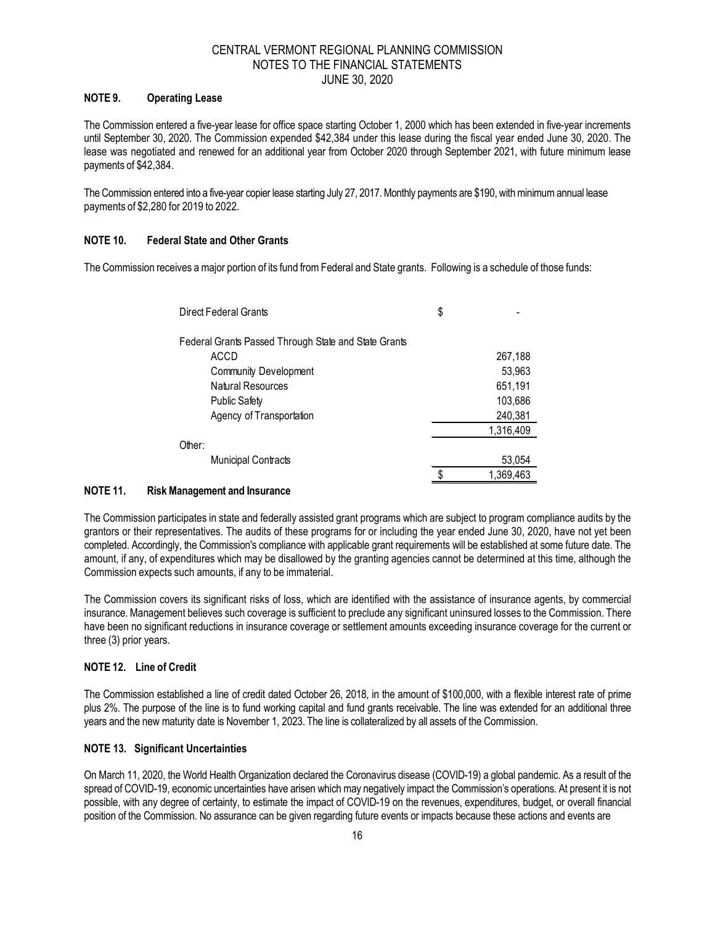### **NOTE 9. Operating Lease**

The Commission entered a five-year lease for office space starting October 1, 2000 which has been extended in five-year increments until September 30, 2020. The Commission expended \$42,384 under this lease during the fiscal year ended June 30, 2020. The lease was negotiated and renewed for an additional year from October 2020 through September 2021, with future minimum lease payments of \$42,384.

The Commission entered into a five-year copier lease starting July 27, 2017. Monthly payments are \$190, with minimum annual lease payments of \$2,280 for 2019 to 2022.

### **NOTE 10. Federal State and Other Grants**

The Commission receives a major portion of its fund from Federal and State grants. Following is a schedule of those funds:

| Direct Federal Grants                                | \$        |
|------------------------------------------------------|-----------|
| Federal Grants Passed Through State and State Grants |           |
| ACCD                                                 | 267,188   |
| Community Development                                | 53,963    |
| <b>Natural Resources</b>                             | 651,191   |
| <b>Public Safety</b>                                 | 103,686   |
| Agency of Transportation                             | 240,381   |
|                                                      | 1,316,409 |
| Other:                                               |           |
| Municipal Contracts                                  | 53,054    |
|                                                      | 1.369.463 |

### **NOTE 11. Risk Management and Insurance**

The Commission participates in state and federally assisted grant programs which are subject to program compliance audits by the grantors or their representatives. The audits of these programs for or including the year ended June 30, 2020, have not yet been completed. Accordingly, the Commission's compliance with applicable grant requirements will be established at some future date. The amount, if any, of expenditures which may be disallowed by the granting agencies cannot be determined at this time, although the Commission expects such amounts, if any to be immaterial.

The Commission covers its significant risks of loss, which are identified with the assistance of insurance agents, by commercial insurance. Management believes such coverage is sufficient to preclude any significant uninsured losses to the Commission. There have been no significant reductions in insurance coverage or settlement amounts exceeding insurance coverage for the current or three (3) prior years.

### **NOTE 12. Line of Credit**

The Commission established a line of credit dated October 26, 2018, in the amount of \$100,000, with a flexible interest rate of prime plus 2%. The purpose of the line is to fund working capital and fund grants receivable. The line was extended for an additional three years and the new maturity date is November 1, 2023. The line is collateralized by all assets of the Commission.

### **NOTE 13. Significant Uncertainties**

On March 11, 2020, the World Health Organization declared the Coronavirus disease (COVID-19) a global pandemic. As a result of the spread of COVID-19, economic uncertainties have arisen which may negatively impact the Commission's operations. At present it is not possible, with any degree of certainty, to estimate the impact of COVID-19 on the revenues, expenditures, budget, or overall financial position of the Commission. No assurance can be given regarding future events or impacts because these actions and events are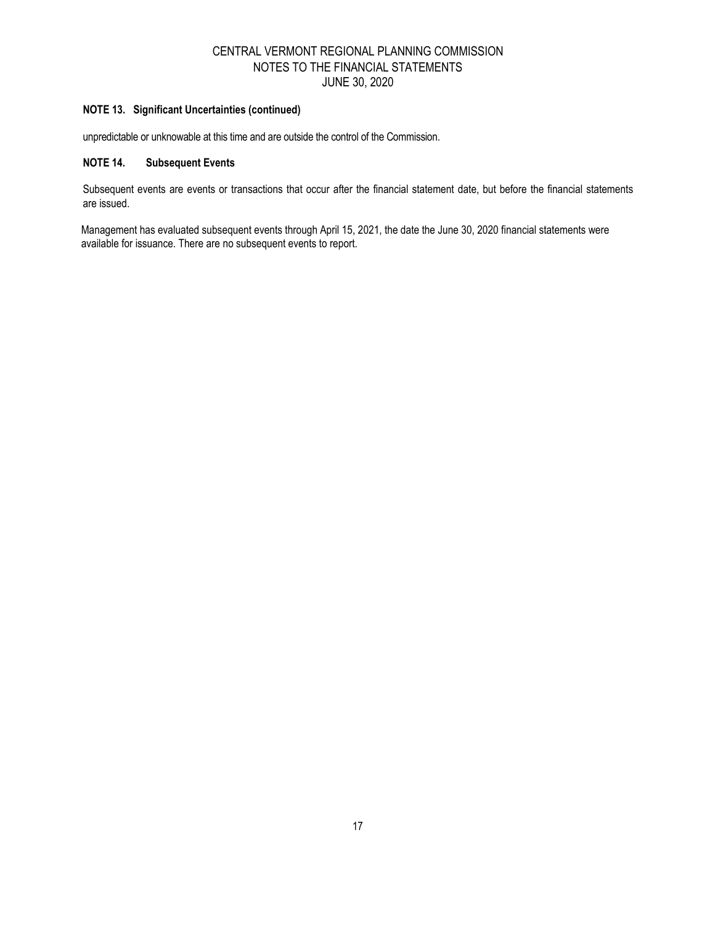### **NOTE 13. Significant Uncertainties (continued)**

unpredictable or unknowable at this time and are outside the control of the Commission.

## **NOTE 14. Subsequent Events**

Subsequent events are events or transactions that occur after the financial statement date, but before the financial statements are issued.

Management has evaluated subsequent events through April 15, 2021, the date the June 30, 2020 financial statements were available for issuance. There are no subsequent events to report.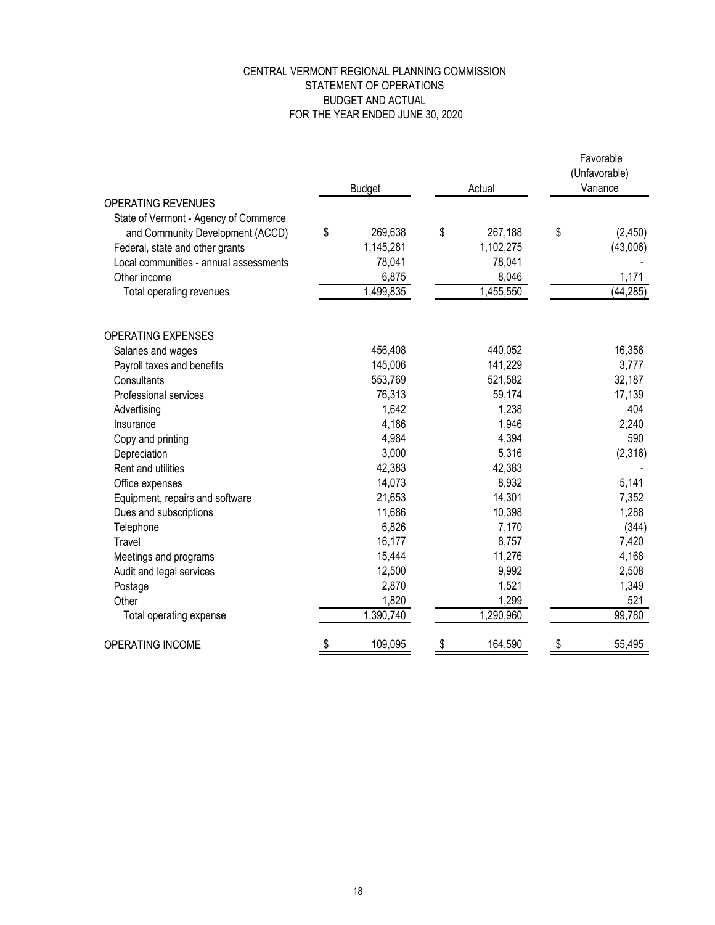## STATEMENT OF OPERATIONS BUDGET AND ACTUAL FOR THE YEAR ENDED JUNE 30, 2020 CENTRAL VERMONT REGIONAL PLANNING COMMISSION

|                                                                           |    |               | Favorable<br>(Unfavorable) |           |          |           |
|---------------------------------------------------------------------------|----|---------------|----------------------------|-----------|----------|-----------|
|                                                                           |    | <b>Budget</b> | Actual                     |           | Variance |           |
| OPERATING REVENUES                                                        |    |               |                            |           |          |           |
| State of Vermont - Agency of Commerce                                     |    | 269,638       |                            | 267,188   |          | (2, 450)  |
| and Community Development (ACCD)                                          | \$ | 1,145,281     | \$                         | 1,102,275 | \$       | (43,006)  |
| Federal, state and other grants<br>Local communities - annual assessments |    | 78,041        |                            | 78,041    |          |           |
|                                                                           |    |               |                            |           |          |           |
| Other income                                                              |    | 6,875         |                            | 8,046     |          | 1,171     |
| Total operating revenues                                                  |    | 1,499,835     |                            | 1,455,550 |          | (44, 285) |
| <b>OPERATING EXPENSES</b>                                                 |    |               |                            |           |          |           |
| Salaries and wages                                                        |    | 456,408       |                            | 440,052   |          | 16,356    |
| Payroll taxes and benefits                                                |    | 145,006       |                            | 141,229   |          | 3,777     |
| Consultants                                                               |    | 553,769       |                            | 521,582   |          | 32,187    |
| Professional services                                                     |    | 76,313        |                            | 59,174    |          | 17,139    |
| Advertising                                                               |    | 1,642         |                            | 1,238     |          | 404       |
| Insurance                                                                 |    | 4,186         |                            | 1,946     |          | 2,240     |
| Copy and printing                                                         |    | 4,984         |                            | 4,394     |          | 590       |
| Depreciation                                                              |    | 3,000         |                            | 5,316     |          | (2,316)   |
| Rent and utilities                                                        |    | 42,383        |                            | 42,383    |          |           |
| Office expenses                                                           |    | 14,073        |                            | 8,932     |          | 5,141     |
| Equipment, repairs and software                                           |    | 21,653        |                            | 14,301    |          | 7,352     |
| Dues and subscriptions                                                    |    | 11,686        |                            | 10,398    |          | 1,288     |
| Telephone                                                                 |    | 6,826         |                            | 7,170     |          | (344)     |
| Travel                                                                    |    | 16,177        |                            | 8,757     |          | 7,420     |
| Meetings and programs                                                     |    | 15,444        |                            | 11,276    |          | 4,168     |
| Audit and legal services                                                  |    | 12,500        |                            | 9,992     |          | 2,508     |
| Postage                                                                   |    | 2,870         |                            | 1,521     |          | 1,349     |
| Other                                                                     |    | 1,820         |                            | 1,299     |          | 521       |
| Total operating expense                                                   |    | 1,390,740     |                            | 1,290,960 |          | 99,780    |
| <b>OPERATING INCOME</b>                                                   | \$ | 109,095       | \$                         | 164,590   | \$       | 55,495    |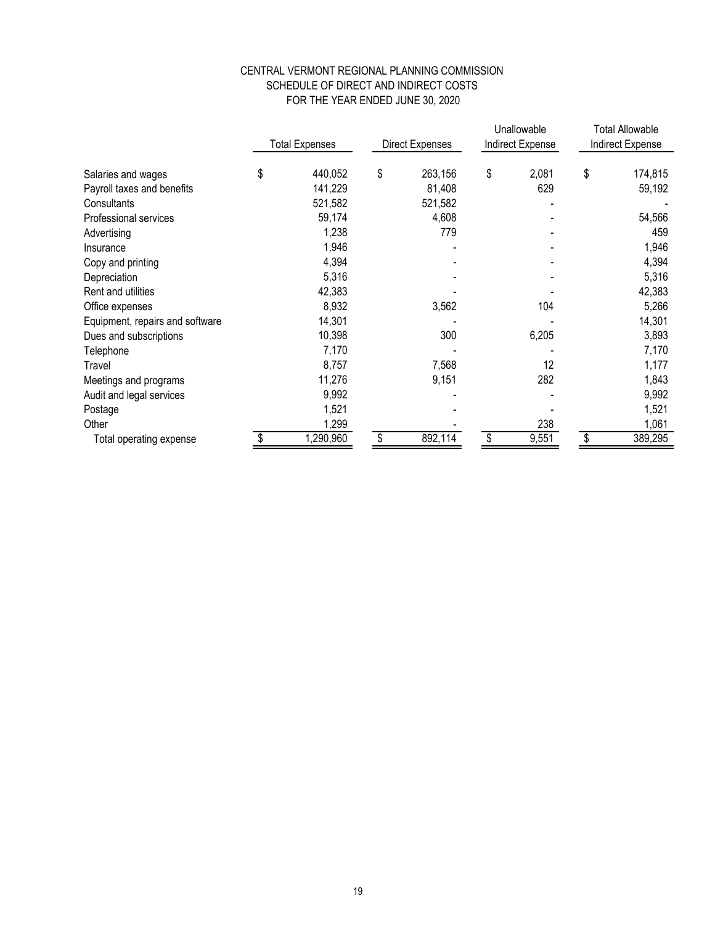## SCHEDULE OF DIRECT AND INDIRECT COSTS FOR THE YEAR ENDED JUNE 30, 2020 CENTRAL VERMONT REGIONAL PLANNING COMMISSION

|                                 |    |                       |    |                 | Unallowable |                  | <b>Total Allowable</b><br>Indirect Expense |         |  |
|---------------------------------|----|-----------------------|----|-----------------|-------------|------------------|--------------------------------------------|---------|--|
|                                 |    | <b>Total Expenses</b> |    | Direct Expenses |             | Indirect Expense |                                            |         |  |
| Salaries and wages              | \$ | 440,052               | \$ | 263,156         | \$          | 2,081            | \$                                         | 174,815 |  |
| Payroll taxes and benefits      |    | 141,229               |    | 81,408          |             | 629              |                                            | 59,192  |  |
| Consultants                     |    | 521,582               |    | 521,582         |             |                  |                                            |         |  |
| Professional services           |    | 59,174                |    | 4,608           |             |                  |                                            | 54,566  |  |
| Advertising                     |    | 1,238                 |    | 779             |             |                  |                                            | 459     |  |
| Insurance                       |    | 1,946                 |    |                 |             |                  |                                            | 1,946   |  |
| Copy and printing               |    | 4,394                 |    |                 |             |                  |                                            | 4,394   |  |
| Depreciation                    |    | 5,316                 |    |                 |             |                  |                                            | 5,316   |  |
| Rent and utilities              |    | 42,383                |    |                 |             |                  |                                            | 42,383  |  |
| Office expenses                 |    | 8,932                 |    | 3,562           |             | 104              |                                            | 5,266   |  |
| Equipment, repairs and software |    | 14,301                |    |                 |             |                  |                                            | 14,301  |  |
| Dues and subscriptions          |    | 10,398                |    | 300             |             | 6,205            |                                            | 3,893   |  |
| Telephone                       |    | 7,170                 |    |                 |             |                  |                                            | 7,170   |  |
| Travel                          |    | 8,757                 |    | 7,568           |             | 12               |                                            | 1,177   |  |
| Meetings and programs           |    | 11,276                |    | 9,151           |             | 282              |                                            | 1,843   |  |
| Audit and legal services        |    | 9,992                 |    |                 |             |                  |                                            | 9,992   |  |
| Postage                         |    | 1,521                 |    |                 |             |                  |                                            | 1,521   |  |
| Other                           |    | 1,299                 |    |                 |             | 238              |                                            | 1,061   |  |
| Total operating expense         |    | ,290,960              | \$ | 892,114         | \$          | 9,551            | \$                                         | 389,295 |  |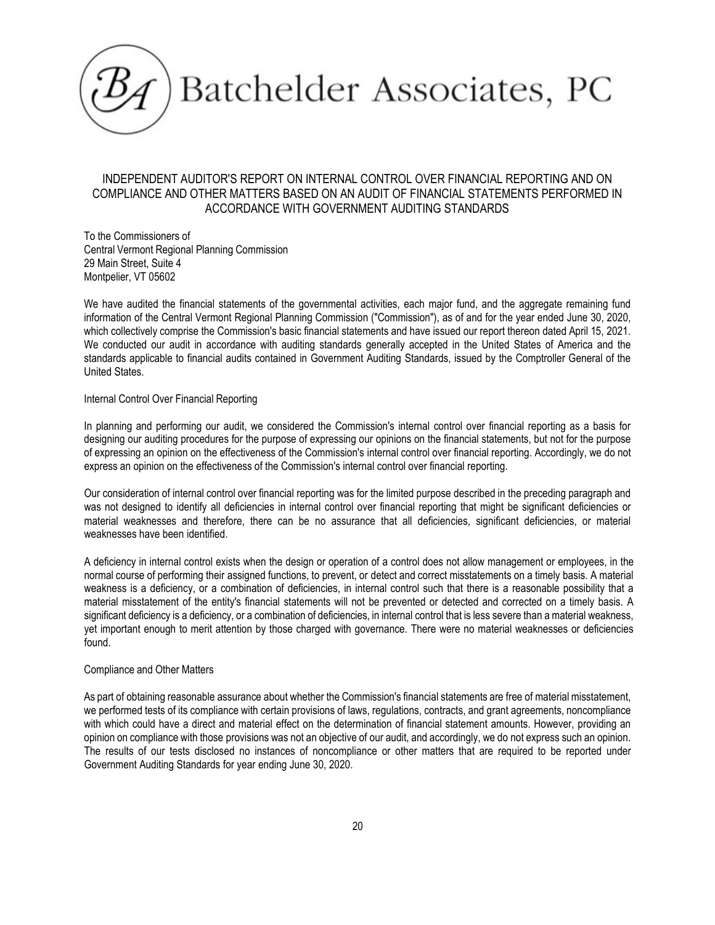Batchelder Associates, PC

## INDEPENDENT AUDITOR'S REPORT ON INTERNAL CONTROL OVER FINANCIAL REPORTING AND ON COMPLIANCE AND OTHER MATTERS BASED ON AN AUDIT OF FINANCIAL STATEMENTS PERFORMED IN ACCORDANCE WITH GOVERNMENT AUDITING STANDARDS

To the Commissioners of Central Vermont Regional Planning Commission 29 Main Street, Suite 4 Montpelier, VT 05602

We have audited the financial statements of the governmental activities, each major fund, and the aggregate remaining fund information of the Central Vermont Regional Planning Commission ("Commission"), as of and for the year ended June 30, 2020, which collectively comprise the Commission's basic financial statements and have issued our report thereon dated April 15, 2021. We conducted our audit in accordance with auditing standards generally accepted in the United States of America and the standards applicable to financial audits contained in Government Auditing Standards, issued by the Comptroller General of the United States.

### Internal Control Over Financial Reporting

In planning and performing our audit, we considered the Commission's internal control over financial reporting as a basis for designing our auditing procedures for the purpose of expressing our opinions on the financial statements, but not for the purpose of expressing an opinion on the effectiveness of the Commission's internal control over financial reporting. Accordingly, we do not express an opinion on the effectiveness of the Commission's internal control over financial reporting.

Our consideration of internal control over financial reporting was for the limited purpose described in the preceding paragraph and was not designed to identify all deficiencies in internal control over financial reporting that might be significant deficiencies or material weaknesses and therefore, there can be no assurance that all deficiencies, significant deficiencies, or material weaknesses have been identified.

A deficiency in internal control exists when the design or operation of a control does not allow management or employees, in the normal course of performing their assigned functions, to prevent, or detect and correct misstatements on a timely basis. A material weakness is a deficiency, or a combination of deficiencies, in internal control such that there is a reasonable possibility that a material misstatement of the entity's financial statements will not be prevented or detected and corrected on a timely basis. A significant deficiency is a deficiency, or a combination of deficiencies, in internal control that is less severe than a material weakness, yet important enough to merit attention by those charged with governance. There were no material weaknesses or deficiencies found.

#### Compliance and Other Matters

As part of obtaining reasonable assurance about whether the Commission's financial statements are free of material misstatement, we performed tests of its compliance with certain provisions of laws, regulations, contracts, and grant agreements, noncompliance with which could have a direct and material effect on the determination of financial statement amounts. However, providing an opinion on compliance with those provisions was not an objective of our audit, and accordingly, we do not express such an opinion. The results of our tests disclosed no instances of noncompliance or other matters that are required to be reported under Government Auditing Standards for year ending June 30, 2020.